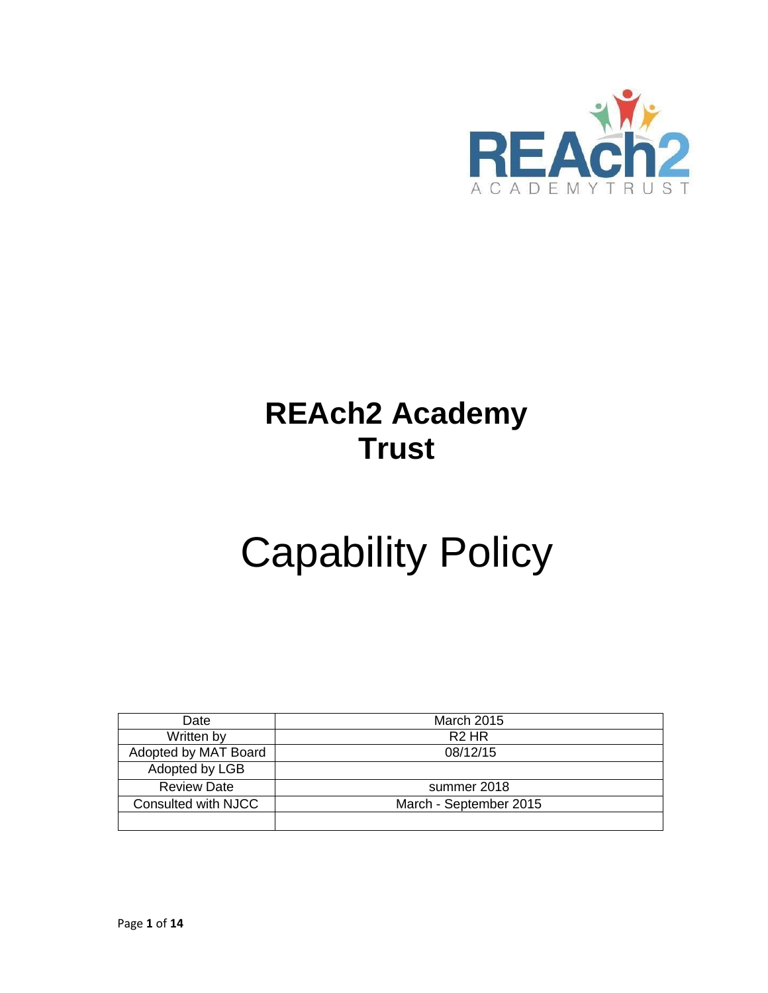

# **REAch2 Academy Trust**

# Capability Policy

| Date                 | <b>March 2015</b>      |
|----------------------|------------------------|
| Written by           | R <sub>2</sub> HR      |
| Adopted by MAT Board | 08/12/15               |
| Adopted by LGB       |                        |
| <b>Review Date</b>   | summer 2018            |
| Consulted with NJCC  | March - September 2015 |
|                      |                        |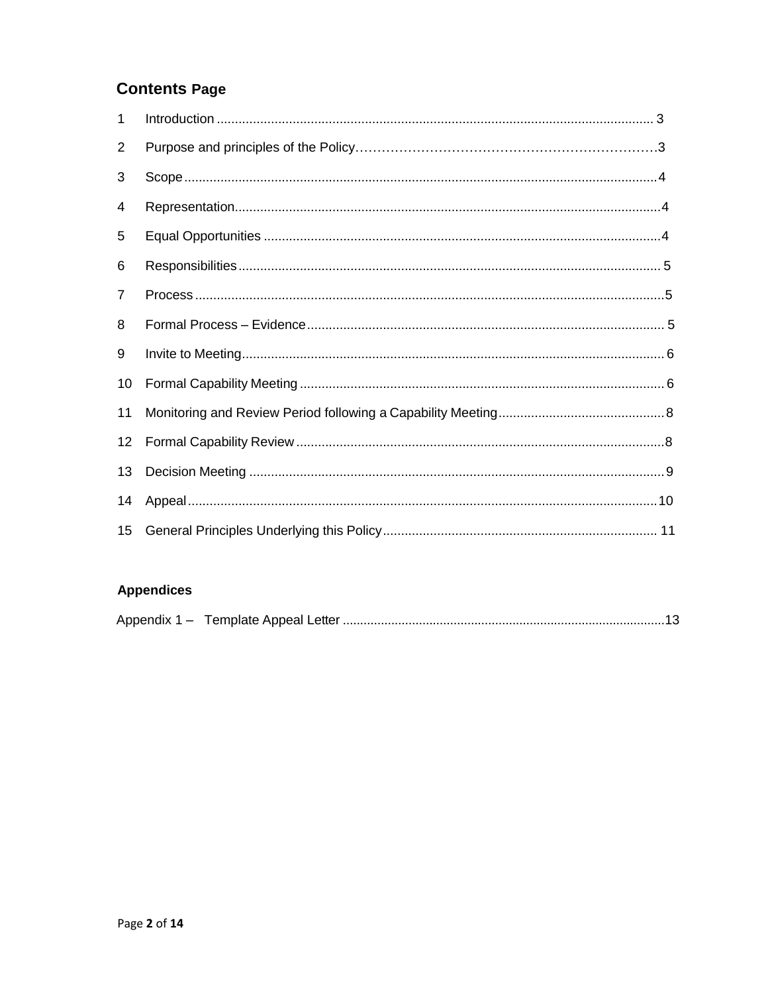# **Contents Page**

| 1              |  |
|----------------|--|
| $\overline{2}$ |  |
| 3              |  |
| 4              |  |
| 5              |  |
| 6              |  |
| 7              |  |
| 8              |  |
| 9              |  |
| 10             |  |
| 11             |  |
| 12             |  |
| 13             |  |
| 14             |  |
| 15             |  |

#### **Appendices**

|--|--|--|--|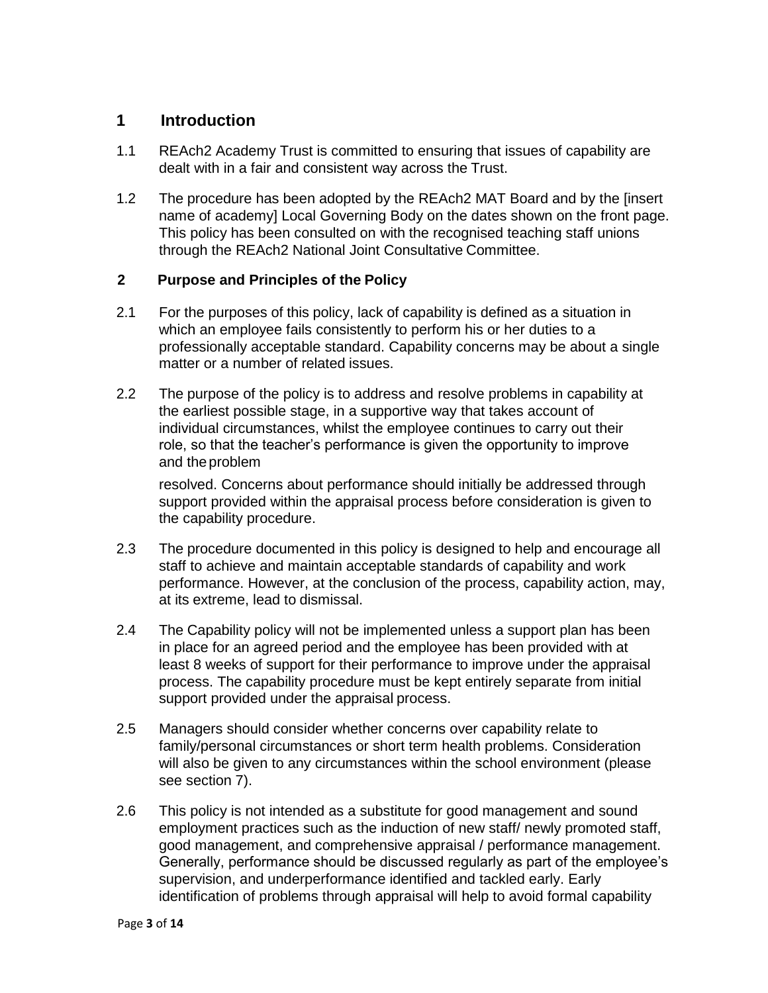#### **1 Introduction**

- 1.1 REAch2 Academy Trust is committed to ensuring that issues of capability are dealt with in a fair and consistent way across the Trust.
- 1.2 The procedure has been adopted by the REAch2 MAT Board and by the [insert name of academy] Local Governing Body on the dates shown on the front page. This policy has been consulted on with the recognised teaching staff unions through the REAch2 National Joint Consultative Committee.

#### **2 Purpose and Principles of the Policy**

- 2.1 For the purposes of this policy, lack of capability is defined as a situation in which an employee fails consistently to perform his or her duties to a professionally acceptable standard. Capability concerns may be about a single matter or a number of related issues.
- 2.2 The purpose of the policy is to address and resolve problems in capability at the earliest possible stage, in a supportive way that takes account of individual circumstances, whilst the employee continues to carry out their role, so that the teacher's performance is given the opportunity to improve and theproblem

resolved. Concerns about performance should initially be addressed through support provided within the appraisal process before consideration is given to the capability procedure.

- 2.3 The procedure documented in this policy is designed to help and encourage all staff to achieve and maintain acceptable standards of capability and work performance. However, at the conclusion of the process, capability action, may, at its extreme, lead to dismissal.
- 2.4 The Capability policy will not be implemented unless a support plan has been in place for an agreed period and the employee has been provided with at least 8 weeks of support for their performance to improve under the appraisal process. The capability procedure must be kept entirely separate from initial support provided under the appraisal process.
- 2.5 Managers should consider whether concerns over capability relate to family/personal circumstances or short term health problems. Consideration will also be given to any circumstances within the school environment (please see section 7).
- 2.6 This policy is not intended as a substitute for good management and sound employment practices such as the induction of new staff/ newly promoted staff, good management, and comprehensive appraisal / performance management. Generally, performance should be discussed regularly as part of the employee's supervision, and underperformance identified and tackled early. Early identification of problems through appraisal will help to avoid formal capability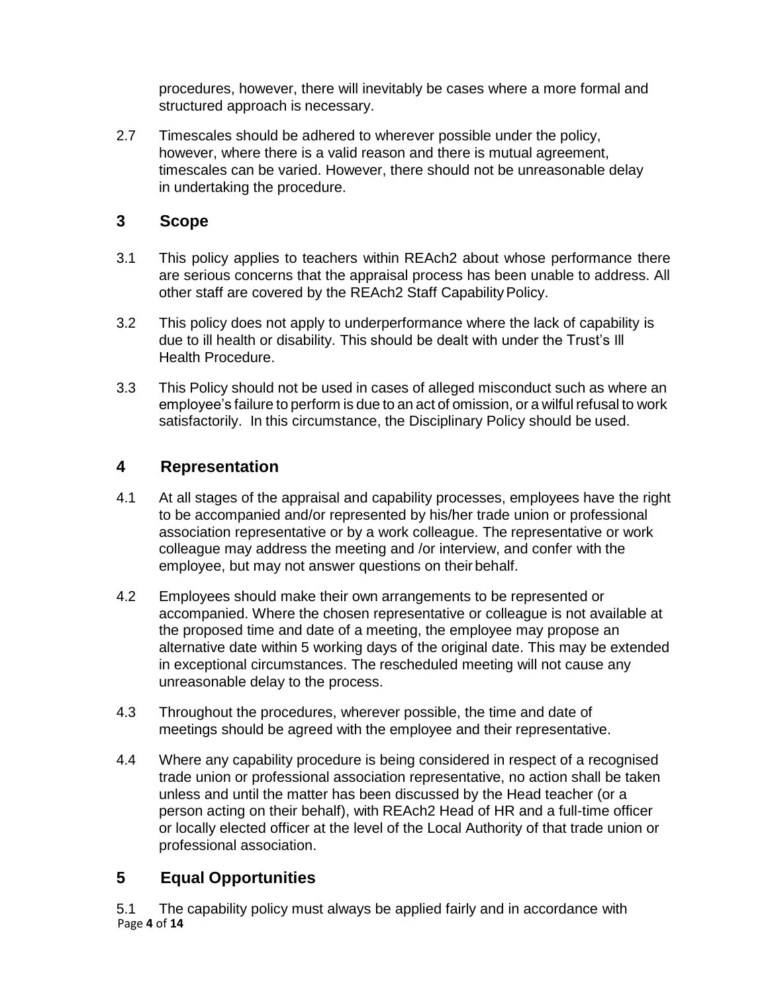procedures, however, there will inevitably be cases where a more formal and structured approach is necessary.

2.7 Timescales should be adhered to wherever possible under the policy, however, where there is a valid reason and there is mutual agreement, timescales can be varied. However, there should not be unreasonable delay in undertaking the procedure.

#### <span id="page-3-0"></span>**3 Scope**

- 3.1 This policy applies to teachers within REAch2 about whose performance there are serious concerns that the appraisal process has been unable to address. All other staff are covered by the REAch2 Staff Capability Policy.
- 3.2 This policy does not apply to underperformance where the lack of capability is due to ill health or disability. This should be dealt with under the Trust's Ill Health Procedure.
- 3.3 This Policy should not be used in cases of alleged misconduct such as where an employee's failure to perform is due to an act of omission, or a wilfulrefusal to work satisfactorily. In this circumstance, the Disciplinary Policy should be used.

## <span id="page-3-1"></span>**4 Representation**

- 4.1 At all stages of the appraisal and capability processes, employees have the right to be accompanied and/or represented by his/her trade union or professional association representative or by a work colleague. The representative or work colleague may address the meeting and /or interview, and confer with the employee, but may not answer questions on their behalf.
- 4.2 Employees should make their own arrangements to be represented or accompanied. Where the chosen representative or colleague is not available at the proposed time and date of a meeting, the employee may propose an alternative date within 5 working days of the original date. This may be extended in exceptional circumstances. The rescheduled meeting will not cause any unreasonable delay to the process.
- 4.3 Throughout the procedures, wherever possible, the time and date of meetings should be agreed with the employee and their representative.
- 4.4 Where any capability procedure is being considered in respect of a recognised trade union or professional association representative, no action shall be taken unless and until the matter has been discussed by the Head teacher (or a person acting on their behalf), with REAch2 Head of HR and a full-time officer or locally elected officer at the level of the Local Authority of that trade union or professional association.

# <span id="page-3-2"></span>**5 Equal Opportunities**

Page **4** of **14** 5.1 The capability policy must always be applied fairly and in accordance with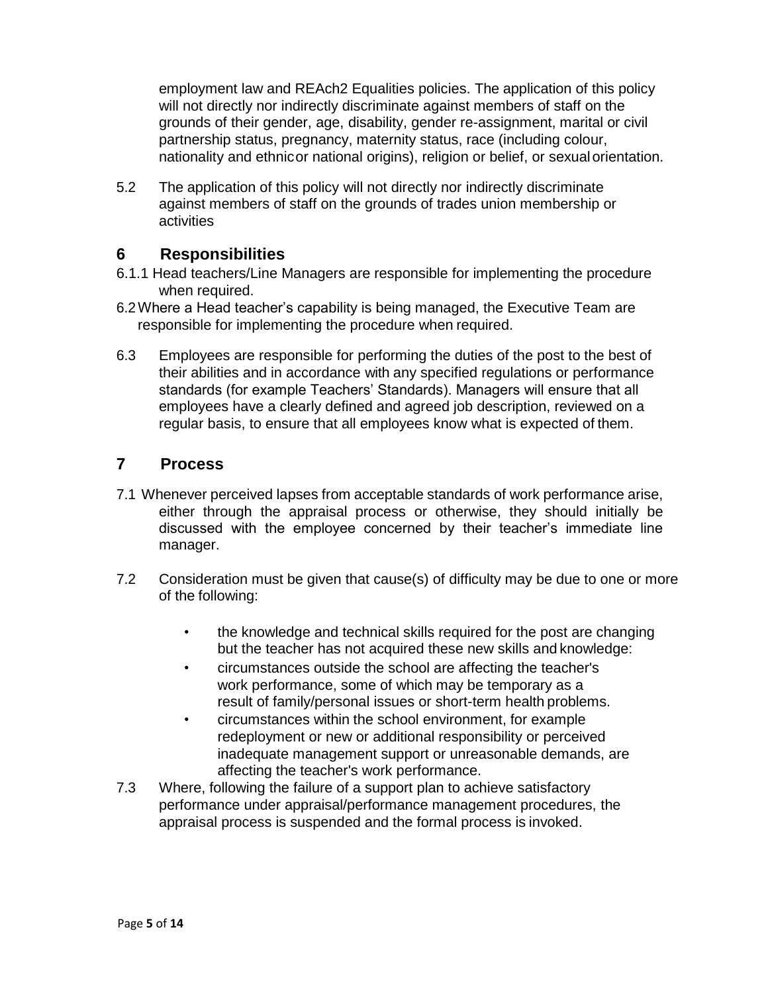employment law and REAch2 Equalities policies. The application of this policy will not directly nor indirectly discriminate against members of staff on the grounds of their gender, age, disability, gender re-assignment, marital or civil partnership status, pregnancy, maternity status, race (including colour, nationality and ethnicor national origins), religion or belief, or sexualorientation.

5.2 The application of this policy will not directly nor indirectly discriminate against members of staff on the grounds of trades union membership or activities

#### <span id="page-4-0"></span>**6 Responsibilities**

- 6.1.1 Head teachers/Line Managers are responsible for implementing the procedure when required.
- 6.2Where a Head teacher's capability is being managed, the Executive Team are responsible for implementing the procedure when required.
- 6.3 Employees are responsible for performing the duties of the post to the best of their abilities and in accordance with any specified regulations or performance standards (for example Teachers' Standards). Managers will ensure that all employees have a clearly defined and agreed job description, reviewed on a regular basis, to ensure that all employees know what is expected of them.

#### <span id="page-4-1"></span>**7 Process**

- 7.1 Whenever perceived lapses from acceptable standards of work performance arise, either through the appraisal process or otherwise, they should initially be discussed with the employee concerned by their teacher's immediate line manager.
- 7.2 Consideration must be given that cause(s) of difficulty may be due to one or more of the following:
	- the knowledge and technical skills required for the post are changing but the teacher has not acquired these new skills and knowledge:
	- circumstances outside the school are affecting the teacher's work performance, some of which may be temporary as a result of family/personal issues or short-term health problems.
	- circumstances within the school environment, for example redeployment or new or additional responsibility or perceived inadequate management support or unreasonable demands, are affecting the teacher's work performance.
- 7.3 Where, following the failure of a support plan to achieve satisfactory performance under appraisal/performance management procedures, the appraisal process is suspended and the formal process is invoked.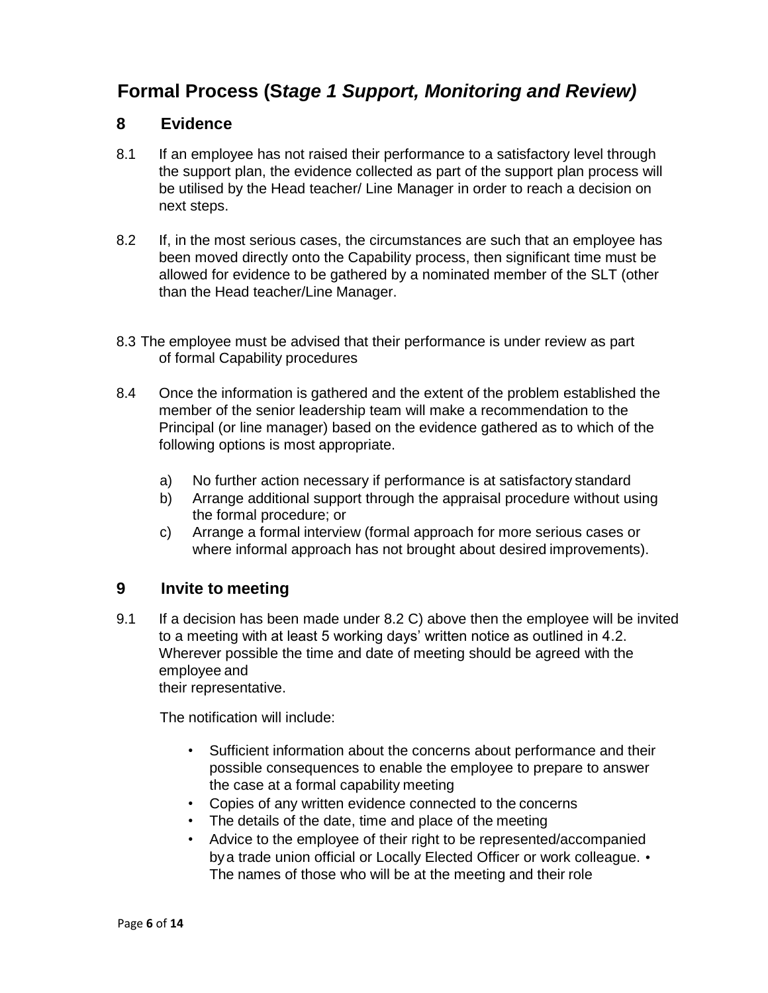# **Formal Process (S***tage 1 Support, Monitoring and Review)*

#### **8 Evidence**

- 8.1 If an employee has not raised their performance to a satisfactory level through the support plan, the evidence collected as part of the support plan process will be utilised by the Head teacher/ Line Manager in order to reach a decision on next steps.
- 8.2 If, in the most serious cases, the circumstances are such that an employee has been moved directly onto the Capability process, then significant time must be allowed for evidence to be gathered by a nominated member of the SLT (other than the Head teacher/Line Manager.
- 8.3 The employee must be advised that their performance is under review as part of formal Capability procedures
- 8.4 Once the information is gathered and the extent of the problem established the member of the senior leadership team will make a recommendation to the Principal (or line manager) based on the evidence gathered as to which of the following options is most appropriate.
	- a) No further action necessary if performance is at satisfactory standard
	- b) Arrange additional support through the appraisal procedure without using the formal procedure; or
	- c) Arrange a formal interview (formal approach for more serious cases or where informal approach has not brought about desired improvements).

#### <span id="page-5-0"></span>**9 Invite to meeting**

9.1 If a decision has been made under 8.2 C) above then the employee will be invited to a meeting with at least 5 working days' written notice as outlined in 4.2. Wherever possible the time and date of meeting should be agreed with the employee and

their representative.

The notification will include:

- Sufficient information about the concerns about performance and their possible consequences to enable the employee to prepare to answer the case at a formal capability meeting
- Copies of any written evidence connected to the concerns
- The details of the date, time and place of the meeting
- <span id="page-5-1"></span>• Advice to the employee of their right to be represented/accompanied by a trade union official or Locally Elected Officer or work colleague. • The names of those who will be at the meeting and their role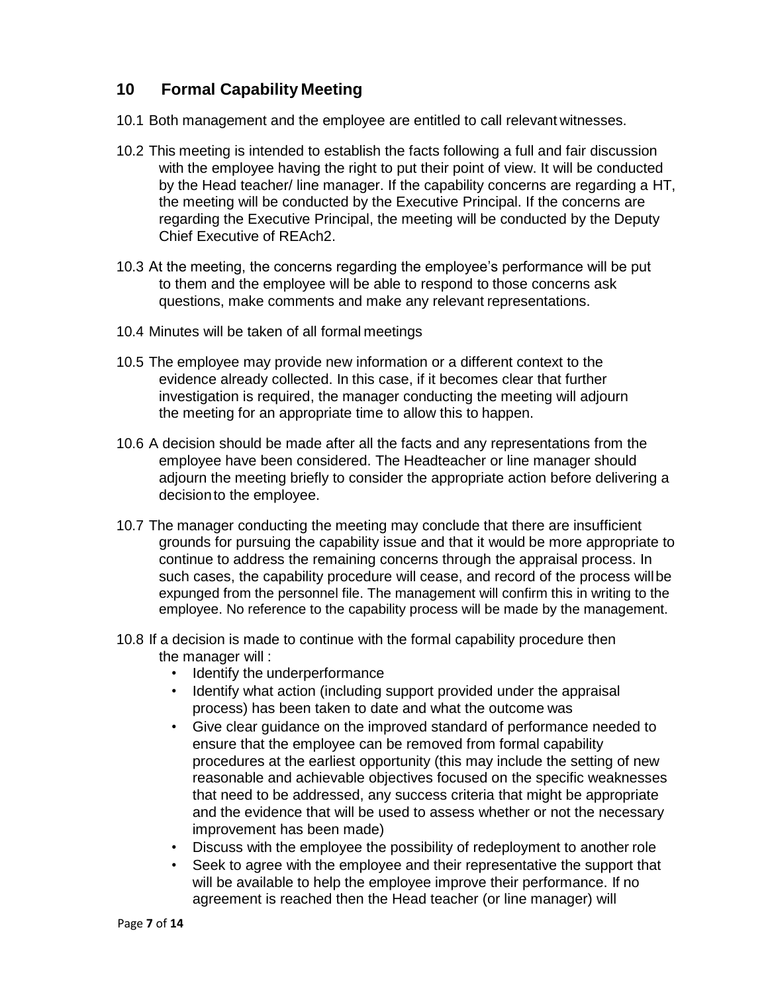## **10 Formal Capability Meeting**

- 10.1 Both management and the employee are entitled to call relevant witnesses.
- 10.2 This meeting is intended to establish the facts following a full and fair discussion with the employee having the right to put their point of view. It will be conducted by the Head teacher/ line manager. If the capability concerns are regarding a HT, the meeting will be conducted by the Executive Principal. If the concerns are regarding the Executive Principal, the meeting will be conducted by the Deputy Chief Executive of REAch2.
- 10.3 At the meeting, the concerns regarding the employee's performance will be put to them and the employee will be able to respond to those concerns ask questions, make comments and make any relevant representations.
- 10.4 Minutes will be taken of all formal meetings
- 10.5 The employee may provide new information or a different context to the evidence already collected. In this case, if it becomes clear that further investigation is required, the manager conducting the meeting will adjourn the meeting for an appropriate time to allow this to happen.
- 10.6 A decision should be made after all the facts and any representations from the employee have been considered. The Headteacher or line manager should adjourn the meeting briefly to consider the appropriate action before delivering a decisionto the employee.
- 10.7 The manager conducting the meeting may conclude that there are insufficient grounds for pursuing the capability issue and that it would be more appropriate to continue to address the remaining concerns through the appraisal process. In such cases, the capability procedure will cease, and record of the process willbe expunged from the personnel file. The management will confirm this in writing to the employee. No reference to the capability process will be made by the management.
- 10.8 If a decision is made to continue with the formal capability procedure then the manager will :
	- Identify the underperformance
	- Identify what action (including support provided under the appraisal process) has been taken to date and what the outcome was
	- Give clear guidance on the improved standard of performance needed to ensure that the employee can be removed from formal capability procedures at the earliest opportunity (this may include the setting of new reasonable and achievable objectives focused on the specific weaknesses that need to be addressed, any success criteria that might be appropriate and the evidence that will be used to assess whether or not the necessary improvement has been made)
	- Discuss with the employee the possibility of redeployment to another role
	- Seek to agree with the employee and their representative the support that will be available to help the employee improve their performance. If no agreement is reached then the Head teacher (or line manager) will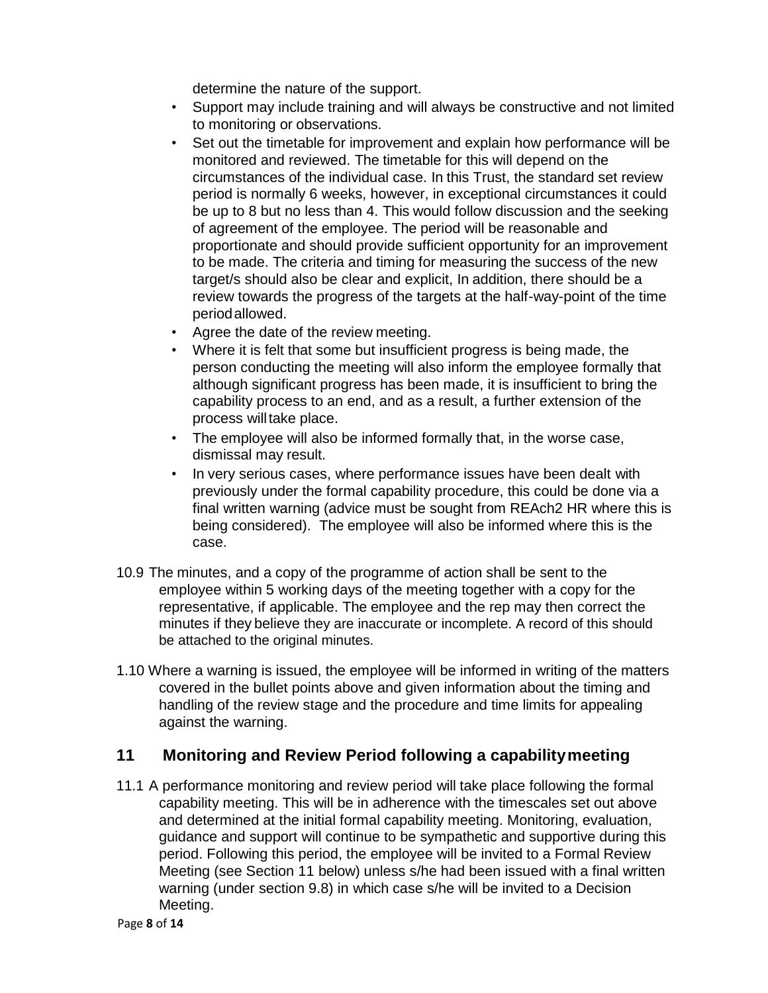determine the nature of the support.

- Support may include training and will always be constructive and not limited to monitoring or observations.
- Set out the timetable for improvement and explain how performance will be monitored and reviewed. The timetable for this will depend on the circumstances of the individual case. In this Trust, the standard set review period is normally 6 weeks, however, in exceptional circumstances it could be up to 8 but no less than 4. This would follow discussion and the seeking of agreement of the employee. The period will be reasonable and proportionate and should provide sufficient opportunity for an improvement to be made. The criteria and timing for measuring the success of the new target/s should also be clear and explicit, In addition, there should be a review towards the progress of the targets at the half-way-point of the time periodallowed.
- Agree the date of the review meeting.
- Where it is felt that some but insufficient progress is being made, the person conducting the meeting will also inform the employee formally that although significant progress has been made, it is insufficient to bring the capability process to an end, and as a result, a further extension of the process will take place.
- The employee will also be informed formally that, in the worse case, dismissal may result.
- In very serious cases, where performance issues have been dealt with previously under the formal capability procedure, this could be done via a final written warning (advice must be sought from REAch2 HR where this is being considered). The employee will also be informed where this is the case.
- 10.9 The minutes, and a copy of the programme of action shall be sent to the employee within 5 working days of the meeting together with a copy for the representative, if applicable. The employee and the rep may then correct the minutes if they believe they are inaccurate or incomplete. A record of this should be attached to the original minutes.
- 1.10 Where a warning is issued, the employee will be informed in writing of the matters covered in the bullet points above and given information about the timing and handling of the review stage and the procedure and time limits for appealing against the warning.

#### <span id="page-7-0"></span>**11 Monitoring and Review Period following a capabilitymeeting**

11.1 A performance monitoring and review period will take place following the formal capability meeting. This will be in adherence with the timescales set out above and determined at the initial formal capability meeting. Monitoring, evaluation, guidance and support will continue to be sympathetic and supportive during this period. Following this period, the employee will be invited to a Formal Review Meeting (see Section 11 below) unless s/he had been issued with a final written warning (under section 9.8) in which case s/he will be invited to a Decision Meeting.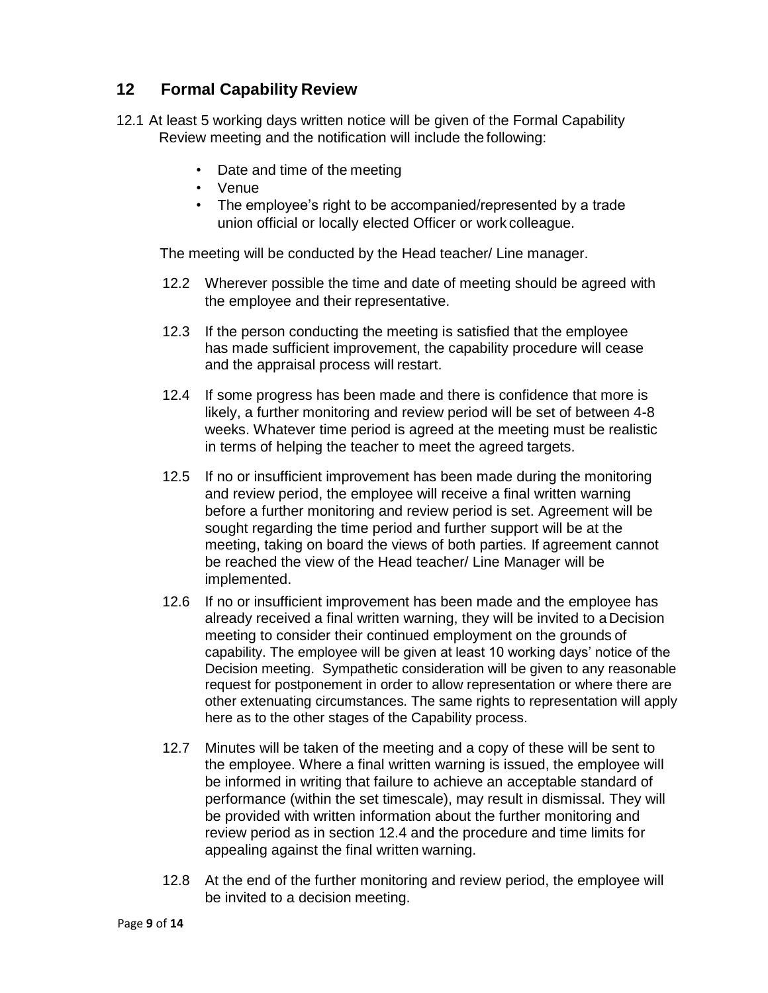#### <span id="page-8-0"></span>**12 Formal Capability Review**

- 12.1 At least 5 working days written notice will be given of the Formal Capability Review meeting and the notification will include the following:
	- Date and time of the meeting
	- Venue
	- The employee's right to be accompanied/represented by a trade union official or locally elected Officer or work colleague.

The meeting will be conducted by the Head teacher/ Line manager.

- 12.2 Wherever possible the time and date of meeting should be agreed with the employee and their representative.
- 12.3 If the person conducting the meeting is satisfied that the employee has made sufficient improvement, the capability procedure will cease and the appraisal process will restart.
- 12.4 If some progress has been made and there is confidence that more is likely, a further monitoring and review period will be set of between 4-8 weeks. Whatever time period is agreed at the meeting must be realistic in terms of helping the teacher to meet the agreed targets.
- 12.5 If no or insufficient improvement has been made during the monitoring and review period, the employee will receive a final written warning before a further monitoring and review period is set. Agreement will be sought regarding the time period and further support will be at the meeting, taking on board the views of both parties*.* If agreement cannot be reached the view of the Head teacher/ Line Manager will be implemented.
- 12.6 If no or insufficient improvement has been made and the employee has already received a final written warning, they will be invited to a Decision meeting to consider their continued employment on the grounds of capability. The employee will be given at least 10 working days' notice of the Decision meeting. Sympathetic consideration will be given to any reasonable request for postponement in order to allow representation or where there are other extenuating circumstances. The same rights to representation will apply here as to the other stages of the Capability process.
- 12.7 Minutes will be taken of the meeting and a copy of these will be sent to the employee. Where a final written warning is issued, the employee will be informed in writing that failure to achieve an acceptable standard of performance (within the set timescale), may result in dismissal. They will be provided with written information about the further monitoring and review period as in section 12.4 and the procedure and time limits for appealing against the final written warning.
- 12.8 At the end of the further monitoring and review period, the employee will be invited to a decision meeting.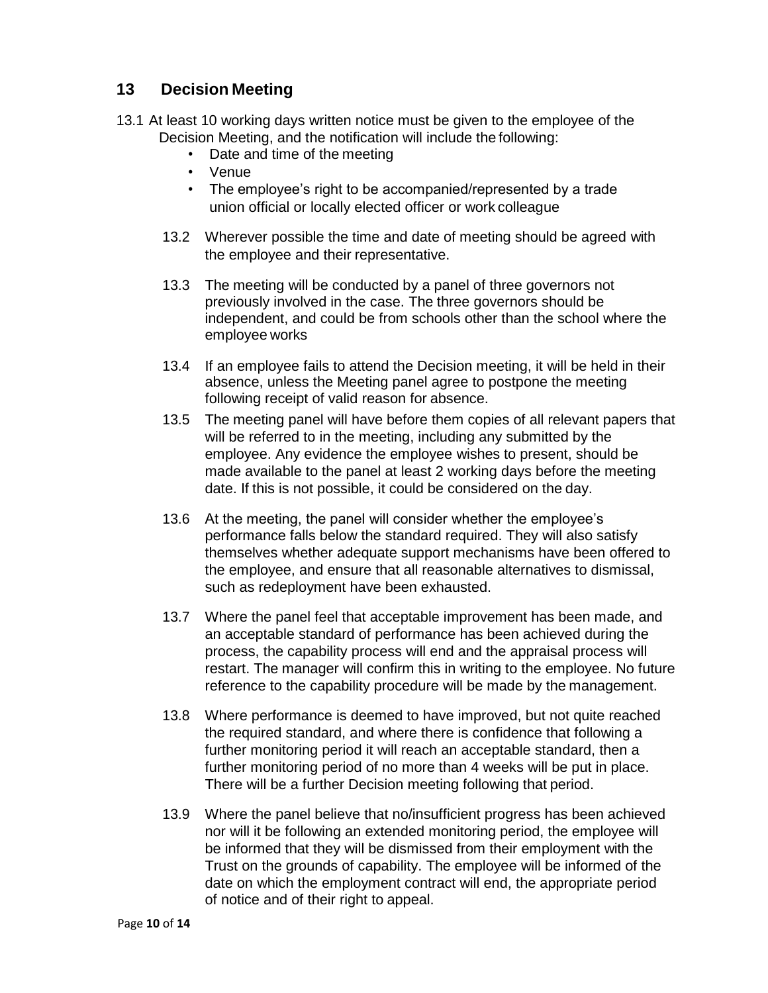#### <span id="page-9-0"></span>**13 Decision Meeting**

- 13.1 At least 10 working days written notice must be given to the employee of the Decision Meeting, and the notification will include the following:
	- Date and time of the meeting
	- Venue
	- The employee's right to be accompanied/represented by a trade union official or locally elected officer or work colleague
	- 13.2 Wherever possible the time and date of meeting should be agreed with the employee and their representative.
	- 13.3 The meeting will be conducted by a panel of three governors not previously involved in the case. The three governors should be independent, and could be from schools other than the school where the employee works
	- 13.4 If an employee fails to attend the Decision meeting, it will be held in their absence, unless the Meeting panel agree to postpone the meeting following receipt of valid reason for absence.
	- 13.5 The meeting panel will have before them copies of all relevant papers that will be referred to in the meeting, including any submitted by the employee. Any evidence the employee wishes to present, should be made available to the panel at least 2 working days before the meeting date. If this is not possible, it could be considered on the day.
	- 13.6 At the meeting, the panel will consider whether the employee's performance falls below the standard required. They will also satisfy themselves whether adequate support mechanisms have been offered to the employee, and ensure that all reasonable alternatives to dismissal, such as redeployment have been exhausted.
	- 13.7 Where the panel feel that acceptable improvement has been made, and an acceptable standard of performance has been achieved during the process, the capability process will end and the appraisal process will restart. The manager will confirm this in writing to the employee. No future reference to the capability procedure will be made by the management.
	- 13.8 Where performance is deemed to have improved, but not quite reached the required standard, and where there is confidence that following a further monitoring period it will reach an acceptable standard, then a further monitoring period of no more than 4 weeks will be put in place. There will be a further Decision meeting following that period.
	- 13.9 Where the panel believe that no/insufficient progress has been achieved nor will it be following an extended monitoring period, the employee will be informed that they will be dismissed from their employment with the Trust on the grounds of capability. The employee will be informed of the date on which the employment contract will end, the appropriate period of notice and of their right to appeal.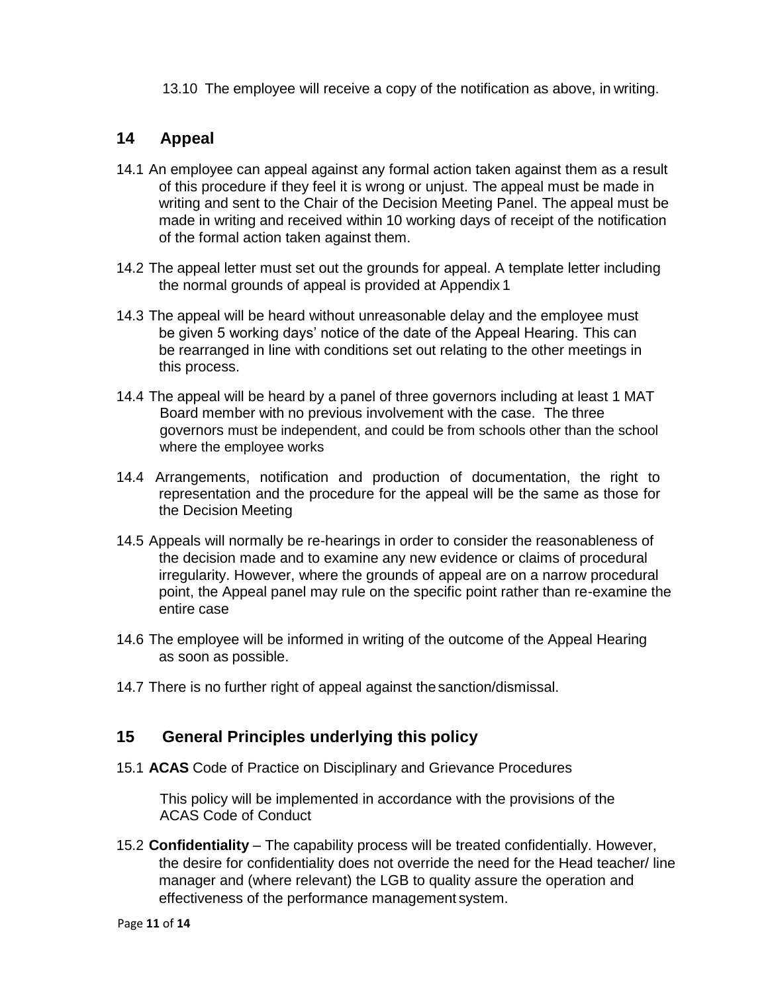13.10 The employee will receive a copy of the notification as above, in writing.

#### <span id="page-10-0"></span>**14 Appeal**

- 14.1 An employee can appeal against any formal action taken against them as a result of this procedure if they feel it is wrong or unjust. The appeal must be made in writing and sent to the Chair of the Decision Meeting Panel. The appeal must be made in writing and received within 10 working days of receipt of the notification of the formal action taken against them.
- 14.2 The appeal letter must set out the grounds for appeal. A template letter including the normal grounds of appeal is provided at Appendix 1
- 14.3 The appeal will be heard without unreasonable delay and the employee must be given 5 working days' notice of the date of the Appeal Hearing. This can be rearranged in line with conditions set out relating to the other meetings in this process.
- 14.4 The appeal will be heard by a panel of three governors including at least 1 MAT Board member with no previous involvement with the case. The three governors must be independent, and could be from schools other than the school where the employee works
- 14.4 Arrangements, notification and production of documentation, the right to representation and the procedure for the appeal will be the same as those for the Decision Meeting
- 14.5 Appeals will normally be re-hearings in order to consider the reasonableness of the decision made and to examine any new evidence or claims of procedural irregularity. However, where the grounds of appeal are on a narrow procedural point, the Appeal panel may rule on the specific point rather than re-examine the entire case
- 14.6 The employee will be informed in writing of the outcome of the Appeal Hearing as soon as possible.
- 14.7 There is no further right of appeal against thesanction/dismissal.

#### <span id="page-10-1"></span>**15 General Principles underlying this policy**

15.1 **ACAS** Code of Practice on Disciplinary and Grievance Procedures

This policy will be implemented in accordance with the provisions of the ACAS Code of Conduct

15.2 **Confidentiality** – The capability process will be treated confidentially. However, the desire for confidentiality does not override the need for the Head teacher/ line manager and (where relevant) the LGB to quality assure the operation and effectiveness of the performance management system.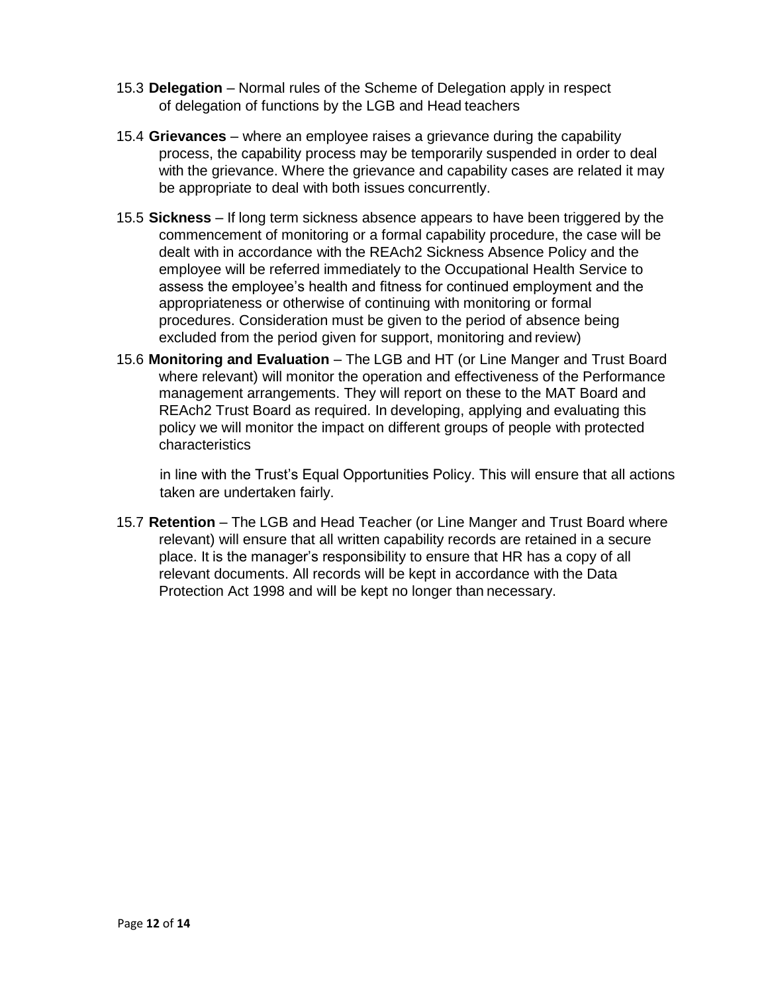- 15.3 **Delegation**  Normal rules of the Scheme of Delegation apply in respect of delegation of functions by the LGB and Head teachers
- 15.4 **Grievances**  where an employee raises a grievance during the capability process, the capability process may be temporarily suspended in order to deal with the grievance. Where the grievance and capability cases are related it may be appropriate to deal with both issues concurrently.
- 15.5 **Sickness**  If long term sickness absence appears to have been triggered by the commencement of monitoring or a formal capability procedure, the case will be dealt with in accordance with the REAch2 Sickness Absence Policy and the employee will be referred immediately to the Occupational Health Service to assess the employee's health and fitness for continued employment and the appropriateness or otherwise of continuing with monitoring or formal procedures. Consideration must be given to the period of absence being excluded from the period given for support, monitoring and review)
- 15.6 **Monitoring and Evaluation**  The LGB and HT (or Line Manger and Trust Board where relevant) will monitor the operation and effectiveness of the Performance management arrangements. They will report on these to the MAT Board and REAch2 Trust Board as required. In developing, applying and evaluating this policy we will monitor the impact on different groups of people with protected characteristics

in line with the Trust's Equal Opportunities Policy. This will ensure that all actions taken are undertaken fairly.

15.7 **Retention** – The LGB and Head Teacher (or Line Manger and Trust Board where relevant) will ensure that all written capability records are retained in a secure place. It is the manager's responsibility to ensure that HR has a copy of all relevant documents. All records will be kept in accordance with the Data Protection Act 1998 and will be kept no longer than necessary.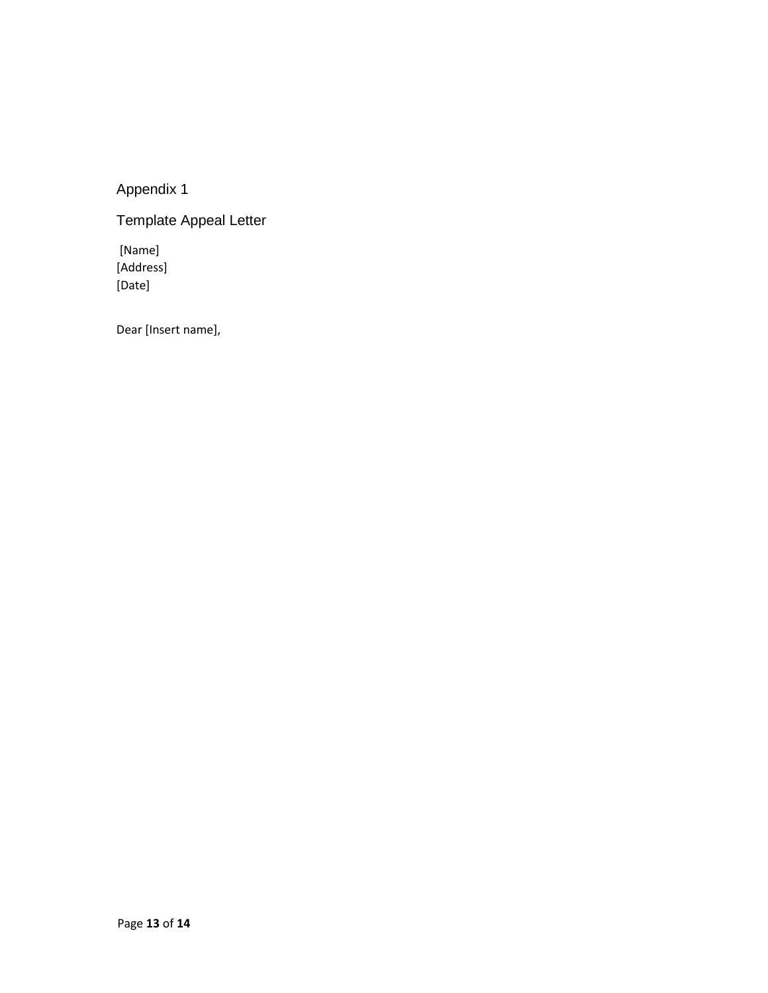Appendix 1

Template Appeal Letter

[Name] [Address] [Date]

Dear [Insert name],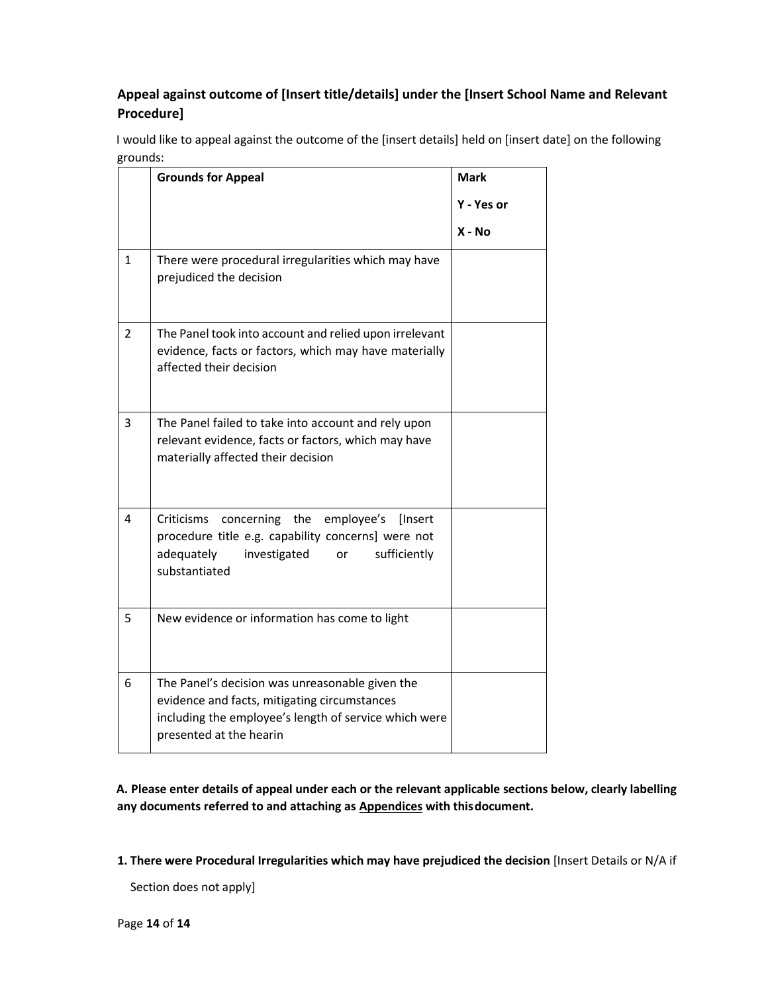#### **Appeal against outcome of [Insert title/details] under the [Insert School Name and Relevant Procedure]**

I would like to appeal against the outcome of the [insert details] held on [insert date] on the following grounds:

|   | <b>Grounds for Appeal</b>                                                                                                                                                           | <b>Mark</b> |
|---|-------------------------------------------------------------------------------------------------------------------------------------------------------------------------------------|-------------|
|   |                                                                                                                                                                                     | Y - Yes or  |
|   |                                                                                                                                                                                     | X - No      |
| 1 | There were procedural irregularities which may have<br>prejudiced the decision                                                                                                      |             |
| 2 | The Panel took into account and relied upon irrelevant<br>evidence, facts or factors, which may have materially<br>affected their decision                                          |             |
| 3 | The Panel failed to take into account and rely upon<br>relevant evidence, facts or factors, which may have<br>materially affected their decision                                    |             |
| 4 | concerning the<br>employee's<br>[Insert<br>Criticisms<br>procedure title e.g. capability concerns] were not<br>adequately<br>investigated<br>or<br>sufficiently<br>substantiated    |             |
| 5 | New evidence or information has come to light                                                                                                                                       |             |
| 6 | The Panel's decision was unreasonable given the<br>evidence and facts, mitigating circumstances<br>including the employee's length of service which were<br>presented at the hearin |             |

**A. Please enter details of appeal under each or the relevant applicable sections below, clearly labelling any documents referred to and attaching as Appendices with thisdocument.**

**1. There were Procedural Irregularities which may have prejudiced the decision** [Insert Details or N/A if

Section does not apply]